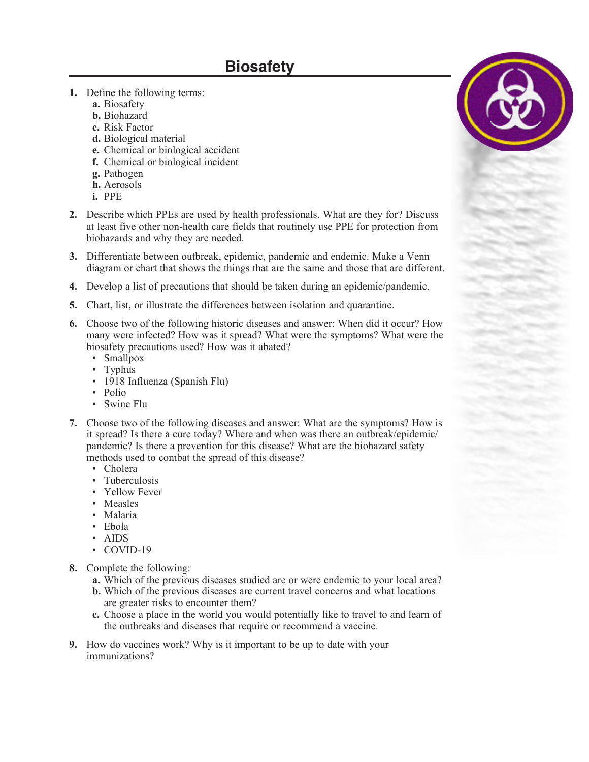## **Biosafety**

- **1.** Define the following terms:
	- **a.** Biosafety
	- **b.** Biohazard
	- **c.** Risk Factor
	- **d.** Biological material
	- **e.** Chemical or biological accident
	- **f.** Chemical or biological incident
	- **g.** Pathogen
	- **h.** Aerosols
	- **i.** PPE
- **2.** Describe which PPEs are used by health professionals. What are they for? Discuss at least five other non-health care fields that routinely use PPE for protection from biohazards and why they are needed.
- **3.** Differentiate between outbreak, epidemic, pandemic and endemic. Make a Venn diagram or chart that shows the things that are the same and those that are different.
- **4.** Develop a list of precautions that should be taken during an epidemic/pandemic.
- **5.** Chart, list, or illustrate the differences between isolation and quarantine.
- **6.** Choose two of the following historic diseases and answer: When did it occur? How many were infected? How was it spread? What were the symptoms? What were the biosafety precautions used? How was it abated?
	- Smallpox
	- Typhus
	- 1918 Influenza (Spanish Flu)
	- Polio
	- Swine Flu
- **7.** Choose two of the following diseases and answer: What are the symptoms? How is it spread? Is there a cure today? Where and when was there an outbreak/epidemic/ pandemic? Is there a prevention for this disease? What are the biohazard safety methods used to combat the spread of this disease?
	- Cholera
	- Tuberculosis
	- Yellow Fever
	- Measles
	- Malaria
	- Ebola
	- AIDS
	- COVID-19
- **8.** Complete the following:
	- **a.** Which of the previous diseases studied are or were endemic to your local area?
	- **b.** Which of the previous diseases are current travel concerns and what locations are greater risks to encounter them?
	- **c.** Choose a place in the world you would potentially like to travel to and learn of the outbreaks and diseases that require or recommend a vaccine.
- **9.** How do vaccines work? Why is it important to be up to date with your immunizations?

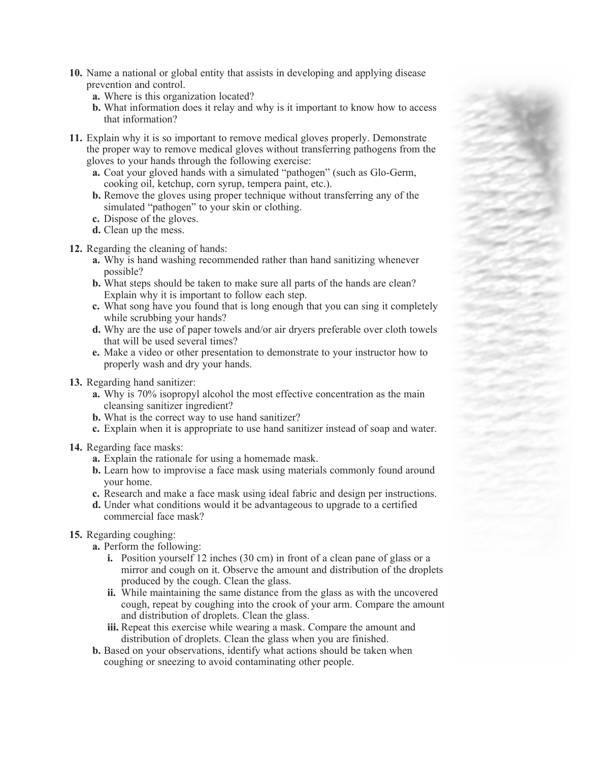- **10.** Name a national or global entity that assists in developing and applying disease prevention and control.
	- **a.** Where is this organization located?
	- **b.** What information does it relay and why is it important to know how to access that information?
- **11.** Explain why it is so important to remove medical gloves properly. Demonstrate the proper way to remove medical gloves without transferring pathogens from the gloves to your hands through the following exercise:
	- **a.** Coat your gloved hands with a simulated "pathogen" (such as Glo-Germ, cooking oil, ketchup, corn syrup, tempera paint, etc.).
	- **b.** Remove the gloves using proper technique without transferring any of the simulated "pathogen" to your skin or clothing.
	- **c.** Dispose of the gloves.
	- **d.** Clean up the mess.
- **12.** Regarding the cleaning of hands:
	- **a.** Why is hand washing recommended rather than hand sanitizing whenever possible?
	- **b.** What steps should be taken to make sure all parts of the hands are clean? Explain why it is important to follow each step.
	- **c.** What song have you found that is long enough that you can sing it completely while scrubbing your hands?
	- **d.** Why are the use of paper towels and/or air dryers preferable over cloth towels that will be used several times?
	- **e.** Make a video or other presentation to demonstrate to your instructor how to properly wash and dry your hands.
- **13.** Regarding hand sanitizer:
	- **a.** Why is 70% isopropyl alcohol the most effective concentration as the main cleansing sanitizer ingredient?
	- **b.** What is the correct way to use hand sanitizer?
	- **c.** Explain when it is appropriate to use hand sanitizer instead of soap and water.
- **14.** Regarding face masks:
	- **a.** Explain the rationale for using a homemade mask.
	- **b.** Learn how to improvise a face mask using materials commonly found around your home.
	- **c.** Research and make a face mask using ideal fabric and design per instructions.
	- **d.** Under what conditions would it be advantageous to upgrade to a certified commercial face mask?
- **15.** Regarding coughing:
	- **a.** Perform the following:
		- **i.** Position yourself 12 inches (30 cm) in front of a clean pane of glass or a mirror and cough on it. Observe the amount and distribution of the droplets produced by the cough. Clean the glass.
		- **ii.** While maintaining the same distance from the glass as with the uncovered cough, repeat by coughing into the crook of your arm. Compare the amount and distribution of droplets. Clean the glass.
		- **iii.** Repeat this exercise while wearing a mask. Compare the amount and distribution of droplets. Clean the glass when you are finished.
	- **b.** Based on your observations, identify what actions should be taken when coughing or sneezing to avoid contaminating other people.